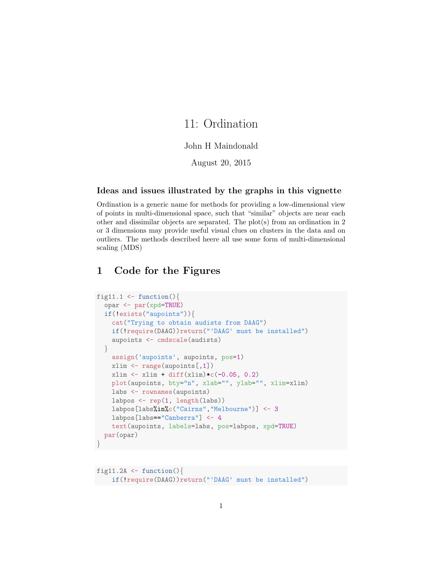# 11: Ordination

#### John H Maindonald

August 20, 2015

#### Ideas and issues illustrated by the graphs in this vignette

Ordination is a generic name for methods for providing a low-dimensional view of points in multi-dimensional space, such that "similar" objects are near each other and dissimilar objects are separated. The plot(s) from an ordination in 2 or 3 dimensions may provide useful visual clues on clusters in the data and on outliers. The methods described heere all use some form of multi-dimensional scaling (MDS)

# 1 Code for the Figures

```
fig11.1 \leftarrow function(){
  opar <- par(xpd=TRUE)
  if(!exists("aupoints")){
    cat("Trying to obtain audists from DAAG")
    if(!require(DAAG))return("'DAAG' must be installed")
    aupoints <- cmdscale(audists)
  }
    assign('aupoints', aupoints, pos=1)
    xlim <- range(aupoints[,1])
    xlim \leftarrow xlim + diff(xlim)*c(-0.05, 0.2)plot(aupoints, bty="n", xlab="", ylab="", xlim=xlim)
    labs <- rownames(aupoints)
    labpos <- rep(1, length(labs))
    labpos[labs%in%c("Cairns","Melbourne")] <- 3
    labpos[labs=="Canberra"] <- 4
    text(aupoints, labels=labs, pos=labpos, xpd=TRUE)
  par(opar)
}
```

```
fig11.2A \le function(){
    if(!require(DAAG))return("'DAAG' must be installed")
```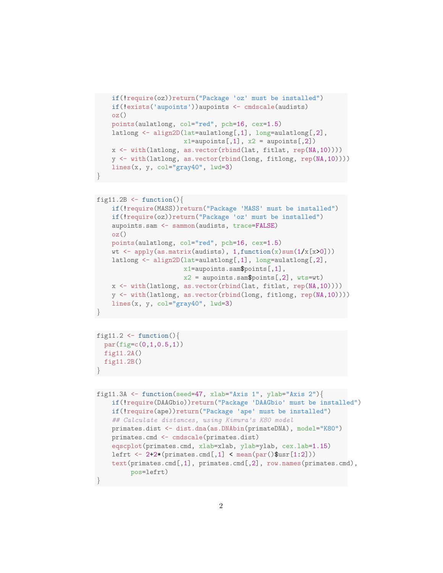```
if(!require(oz))return("Package 'oz' must be installed")
if(!exists('aupoints'))aupoints <- cmdscale(audists)
oz()
points(aulatlong, col="red", pch=16, cex=1.5)
latlong <- align2D(lat=aulatlong[,1], long=aulatlong[,2],
                   x1==aupoints[,1], x2 =aupoints[,2])
x <- with(latlong, as.vector(rbind(lat, fitlat, rep(NA,10))))
y <- with(latlong, as.vector(rbind(long, fitlong, rep(NA,10))))
lines(x, y, col="gray40", lwd=3)
```

```
fig11.2B \leftarrow function(){
   if(!require(MASS))return("Package 'MASS' must be installed")
    if(!require(oz))return("Package 'oz' must be installed")
   aupoints.sam <- sammon(audists, trace=FALSE)
   oz()points(aulatlong, col="red", pch=16, cex=1.5)
    wt \leq apply(as.matrix(audists), 1, function(x)sum(1/x[x>0]))
   latlong <- align2D(lat=aulatlong[,1], long=aulatlong[,2],
                       x1=aupoints.sam$points[,1],
                       x2 = aupoints.sam$points[,2], wts=wt)
    x <- with(latlong, as.vector(rbind(lat, fitlat, rep(NA,10))))
   y <- with(latlong, as.vector(rbind(long, fitlong, rep(NA,10))))
    lines(x, y, col="gray40", lwd=3)}
```

```
fig11.2 \leftarrow function(){
  par(fig=c(0,1,0.5,1))
  fig11.2A()
  fig11.2B()
```
}

}

```
fig11.3A <- function(seed=47, xlab="Axis 1", ylab="Axis 2"){
    if(!require(DAAGbio))return("Package 'DAAGbio' must be installed")
    if(!require(ape))return("Package 'ape' must be installed")
    ## Calculate distances, using Kimura's K80 model
    primates.dist <- dist.dna(as.DNAbin(primateDNA), model="K80")
    primates.cmd <- cmdscale(primates.dist)
    eqscplot(primates.cmd, xlab=xlab, ylab=ylab, cex.lab=1.15)
    lefrt \leftarrow 2+2*(primates.cmd[,1] \leftarrow mean(par()$usr[1:2]))
    text(primates.cmd[,1], primates.cmd[,2], row.names(primates.cmd),
         pos=lefrt)
}
```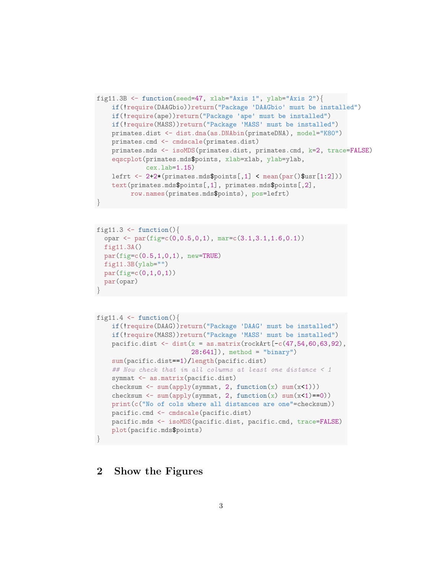```
fig11.3B <- function(seed=47, xlab="Axis 1", ylab="Axis 2"){
    if(!require(DAAGbio))return("Package 'DAAGbio' must be installed")
    if(!require(ape))return("Package 'ape' must be installed")
    if(!require(MASS))return("Package 'MASS' must be installed")
    primates.dist <- dist.dna(as.DNAbin(primateDNA), model="K80")
   primates.cmd <- cmdscale(primates.dist)
    primates.mds <- isoMDS(primates.dist, primates.cmd, k=2, trace=FALSE)
    eqscplot(primates.mds$points, xlab=xlab, ylab=ylab,
             cex.lab=1.15)
   lefrt <- 2+2*(primates.mds$points[,1] < mean(par()$usr[1:2]))
    text(primates.mds$points[,1], primates.mds$points[,2],
        row.names(primates.mds$points), pos=lefrt)
}
```

```
fig11.3 \leftarrow function(){
  opar \leq par(fig=c(0,0.5,0,1), mar=c(3.1,3.1,1.6,0.1))
  fig11.3A()
  par(fige = c(0.5, 1, 0, 1), new = TRUE)fig11.3B(ylab="")par(figec(0,1,0,1))par(opar)
}
```

```
fig11.4 \leftarrow function(){
    if(!require(DAAG))return("Package 'DAAG' must be installed")
    if(!require(MASS))return("Package 'MASS' must be installed")
    pacific.dist \leq dist(x = as.matrix(rockArt[-c(47, 54, 60, 63, 92),
                          28:641]), method = "binary")
    sum(pacific.dist==1)/length(pacific.dist)
    ## Now check that in all columns at least one distance < 1
    symmat <- as.matrix(pacific.dist)
    checksum <- sum(apply(symmat, 2, function(x) sum(x<1)))
    checksum \leq sum(apply(symmat, 2, function(x) sum(x\leq1)==0))
    print(c("No of cols where all distances are one"=checksum))
    pacific.cmd <- cmdscale(pacific.dist)
    pacific.mds <- isoMDS(pacific.dist, pacific.cmd, trace=FALSE)
    plot(pacific.mds$points)
}
```
### 2 Show the Figures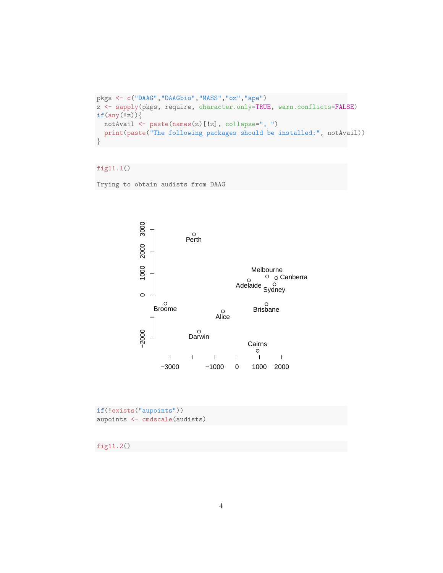```
pkgs <- c("DAAG","DAAGbio","MASS","oz","ape")
z <- sapply(pkgs, require, character.only=TRUE, warn.conflicts=FALSE)
if(any(!z))notAvail <- paste(names(z)[!z], collapse=", ")
 print(paste("The following packages should be installed:", notAvail))
}
```
#### fig11.1()

Trying to obtain audists from DAAG



if(!exists("aupoints")) aupoints <- cmdscale(audists)

fig11.2()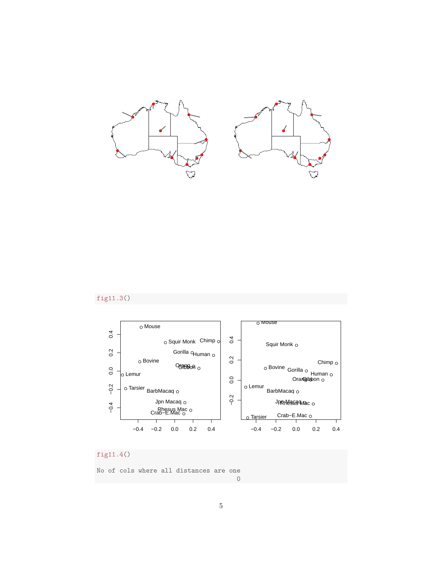

### fig11.3()



# fig11.4()

No of cols where all distances are one

5

0